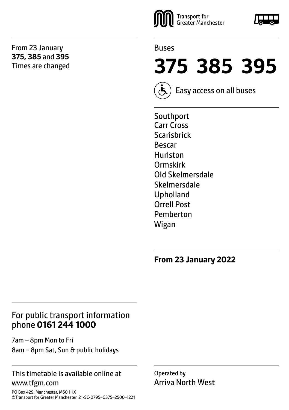From 23 January **375, 385** and **395** Times are changed





**375 385 395** 

Easy access on all buses

Southport Carr Cross Scarisbrick Bescar Hurlston Ormskirk Old Skelmersdale Skelmersdale Upholland Orrell Post Pemberton Wigan

**From 23 January 2022**

### For public transport information phone **0161 244 1000**

7am – 8pm Mon to Fri 8am – 8pm Sat, Sun & public holidays

#### This timetable is available online at www.tfgm.com

PO Box 429, Manchester, M60 1HX ©Transport for Greater Manchester 21-SC-0795–G375–2500–1221 Operated by Arriva North West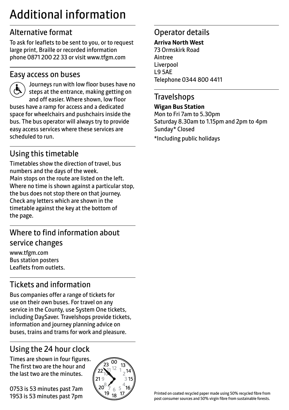# Additional information

# Alternative format

To ask for leaflets to be sent to you, or to request large print, Braille or recorded information phone 0871 200 22 33 or visit www.tfgm.com

#### Easy access on buses



 Journeys run with low floor buses have no steps at the entrance, making getting on and off easier. Where shown, low floor buses have a ramp for access and a dedicated space for wheelchairs and pushchairs inside the bus. The bus operator will always try to provide easy access services where these services are scheduled to run.

# Using this timetable

Timetables show the direction of travel, bus numbers and the days of the week. Main stops on the route are listed on the left. Where no time is shown against a particular stop, the bus does not stop there on that journey. Check any letters which are shown in the timetable against the key at the bottom of the page.

# Where to find information about service changes

www.tfgm.com Bus station posters Leaflets from outlets.

# Tickets and information

Bus companies offer a range of tickets for use on their own buses. For travel on any service in the County, use System One tickets, including DaySaver. Travelshops provide tickets, information and journey planning advice on buses, trains and trams for work and pleasure.

# Using the 24 hour clock

Times are shown in four figures. The first two are the hour and the last two are the minutes.

0753 is 53 minutes past 7am 1953 is 53 minutes past 7pm



# Operator details

#### **Arriva North West**

73 Ormskirk Road Aintree Liverpool L9 5AE Telephone 0344 800 4411

#### **Travelshops**

**Wigan Bus Station** Mon to Fri 7am to 5.30pm Saturday 8.30am to 1.15pm and 2pm to 4pm Sunday\* Closed \*Including public holidays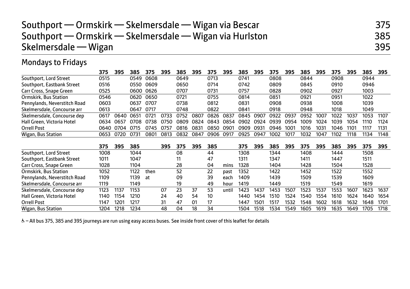| Southport — Ormskirk — Skelmersdale — Wigan via Bescar<br>Southport — Ormskirk — Skelmersdale — Wigan via Hurlston<br>Skelmersdale — Wigan |                                                                                                                     |      |      |           |      |      |      |      |      |      |      |      |                  |      |      |      |      |      | 375<br>385<br>395 |
|--------------------------------------------------------------------------------------------------------------------------------------------|---------------------------------------------------------------------------------------------------------------------|------|------|-----------|------|------|------|------|------|------|------|------|------------------|------|------|------|------|------|-------------------|
| <b>Mondays to Fridays</b>                                                                                                                  |                                                                                                                     |      |      |           |      |      |      |      |      |      |      |      |                  |      |      |      |      |      |                   |
|                                                                                                                                            | 375<br>395<br>395<br>395<br>375<br>385<br>395<br>395<br>385<br>395<br>375<br>395<br>375<br>395<br>385<br>375<br>385 |      |      |           |      |      |      |      |      |      |      |      |                  |      |      | 385  | 395  |      |                   |
| Southport, Lord Street                                                                                                                     | 0515                                                                                                                |      | 0549 | 0608      |      | 0649 |      | 0713 |      | 0741 |      | 0808 |                  | 0844 |      | 0908 |      | 0944 |                   |
| Southport, Eastbank Street                                                                                                                 | 0516                                                                                                                |      | 0550 | 0609      |      | 0650 |      | 0714 |      | 0742 |      | 0809 |                  | 0845 |      | 0910 |      | 0946 |                   |
| Carr Cross, Snape Green                                                                                                                    | 0525                                                                                                                |      |      | 0600 0626 |      | 0707 |      | 0731 |      | 0757 |      | 0828 |                  | 0902 |      | 0927 |      | 1003 |                   |
| <b>Ormskirk, Bus Station</b>                                                                                                               | 0546                                                                                                                |      | 0620 | 0650      |      | 0721 |      | 0755 |      | 0814 |      | 0851 |                  | 0921 |      | 0951 |      | 1022 |                   |
| Pennylands, Neverstitch Road                                                                                                               | 0603                                                                                                                |      | 0637 | 0707      |      | 0738 |      | 0812 |      | 0831 |      | 0908 |                  | 0938 |      | 1008 |      | 1039 |                   |
| Skelmersdale, Concourse arr                                                                                                                | 0613                                                                                                                |      | 0647 | 0717      |      | 0748 |      | 0822 |      | 0841 |      | 0918 |                  | 0948 |      | 1018 |      | 1049 |                   |
| Skelmersdale, Concourse dep                                                                                                                | 0617                                                                                                                | 0640 | 0651 | 0721      | 0733 | 0752 | 0807 | 0826 | 0837 | 0845 | 0907 | 0922 | 0937             | 0952 | 1007 | 1022 | 1037 | 1053 | 1107              |
| Hall Green, Victoria Hotel                                                                                                                 | 0634                                                                                                                | 0657 | 0708 | 0738      | 0750 | 0809 | 0824 | 0843 | 0854 | 0902 | 0924 | 0939 | 0954             | 1009 | 1024 | 1039 | 1054 | 1110 | 1124              |
| <b>Orrell Post</b>                                                                                                                         | 0640                                                                                                                | 0704 | 0715 | 0745      | 0757 | 0816 | 0831 | 0850 | 0901 | 0909 | 0931 | 0946 | 100 <sup>-</sup> | 1016 | 1031 | 1046 | 1101 | 1117 | 1131              |
| Wigan, Bus Station                                                                                                                         | 0653                                                                                                                | 0720 | 0731 | 0801      | 0813 | 0832 | 0847 | 0906 | 0917 | 0925 | 0947 | 1002 | 1017             | 1032 | 1047 | 1102 | 1118 | 1134 | 1148              |

|                              | 375  | 395              | 385  |      | 395 | 375 | 395 | 385 |       | 375  | 395  | 385  | 395  | 375  | 395  | 385  | 395  | 375  | 395  |
|------------------------------|------|------------------|------|------|-----|-----|-----|-----|-------|------|------|------|------|------|------|------|------|------|------|
| Southport, Lord Street       | 1008 |                  | 1044 |      |     | 08  |     | 44  |       | 1308 |      | 1344 |      | 1408 |      | 1444 |      | 1508 |      |
| Southport, Eastbank Street   | 1011 |                  | 1047 |      |     |     |     | 47  |       | 1311 |      | 1347 |      | 1411 |      | 1447 |      | 1511 |      |
| Carr Cross, Snape Green      | 1028 |                  | 1104 |      |     | 28  |     | 04  | mins  | 1328 |      | 1404 |      | 1428 |      | 1504 |      | 1528 |      |
| Ormskirk, Bus Station        | 1052 |                  | 1122 | then |     | 52  |     | 22  | past  | 1352 |      | 1422 |      | 1452 |      | 1522 |      | 1552 |      |
| Pennylands, Neverstitch Road | 1109 |                  | 1139 | at   |     | 09  |     | 39  | each  | 1409 |      | 1439 |      | 1509 |      | 1539 |      | 1609 |      |
| Skelmersdale, Concourse arr  | 1119 |                  | 1149 |      |     | 19  |     | 49  | hour  | 1419 |      | 1449 |      | 1519 |      | 1549 |      | 1619 |      |
| Skelmersdale, Concourse dep  | 1123 | 1137             | 1153 |      | 07  | 23  | 37  | 53  | until | 1423 | 1437 | 1453 | 1507 | 1523 | 1537 | 1553 | 1607 | 1623 | 1637 |
| Hall Green, Victoria Hotel   | 1140 | 1154             | 1210 |      | 24  | 40  | 54  | 10  |       | 1440 | 1454 | 1510 | 1524 | 1540 | 1554 | 1610 | 1624 | 1640 | 1654 |
| Orrell Post                  | 1147 | 120 <sup>.</sup> | 1217 |      | 31  | 47  | 01  | 17  |       | 1447 | 1501 | 1517 | 1532 | 1548 | 1602 | 1618 | 1632 | 1648 | 1701 |
| Wigan, Bus Station           | 1204 | 1218             | 1234 |      | 48  | 04  | 18  | 34  |       | 1504 | 1518 | 1534 | 1549 | 1605 | 1619 | 1635 | 1649 | 1705 | 1718 |

W– All bus 375, 385 and 395 journeys are run using easy access buses. See inside front cover of this leaflet for details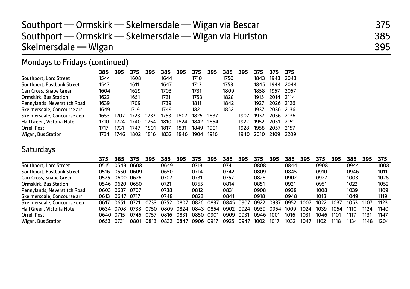| Southport — Ormskirk — Skelmersdale — Wigan via Bescar   | 375 |
|----------------------------------------------------------|-----|
| Southport — Ormskirk — Skelmersdale — Wigan via Hurlston | 385 |
| Skelmersdale — Wigan                                     | 395 |

# Mondays to Fridays (continued)

|                              | 385  | 395  | 375  | 395  | 385  | 395  | 375  | 395  | 385  | 395  | 375  | 375       | -375      |
|------------------------------|------|------|------|------|------|------|------|------|------|------|------|-----------|-----------|
| Southport, Lord Street       | 1544 |      | 1608 |      | 1644 |      | 1710 |      | 1750 |      | 1843 | 1943      | 2043      |
| Southport, Eastbank Street   | 1547 |      | 1611 |      | 1647 |      | 1713 |      | 1753 |      | 1845 |           | 1944 2044 |
| Carr Cross, Snape Green      | 1604 |      | 1629 |      | 1703 |      | 1731 |      | 1809 |      | 1858 | 1957      | 2057      |
| Ormskirk, Bus Station        | 1622 |      | 1651 |      | 1721 |      | 1753 |      | 1828 |      | 1915 | 2014 2114 |           |
| Pennylands, Neverstitch Road | 1639 |      | 1709 |      | 1739 |      | 1811 |      | 1842 |      | 1927 | 2026 2126 |           |
| Skelmersdale, Concourse arr  | 1649 |      | 1719 |      | 1749 |      | 1821 |      | 1852 |      | 1937 |           | 2036 2136 |
| Skelmersdale, Concourse dep  | 1653 | 1707 | 1723 | 1737 | 1753 | 1807 | 1825 | 1837 |      | 1907 | 1937 |           | 2036 2136 |
| Hall Green, Victoria Hotel   | 1710 | 1724 | 1740 | 1754 | 1810 | 1824 | 1842 | 1854 |      | 1922 | 1952 | 2051      | - 2151    |
| Orrell Post                  | 1717 | 1731 | 1747 | 1801 | 1817 | 1831 | 1849 | 1901 |      | 1928 | 1958 | 2057      | 2157      |
| Wigan, Bus Station           | 1734 | 1746 | 1802 | 1816 | 1832 | 1846 | 1904 | 1916 |      | 1940 | 2010 | 2109      | 2209      |

## Saturdays

|                              | 375   | 385  | 375              | 395  | 385  | 395  | 375   | 395  | 385  | 395   | 375  | 395  | 385  | 395  | 375  | 395  | 385  | 395  | 375  |
|------------------------------|-------|------|------------------|------|------|------|-------|------|------|-------|------|------|------|------|------|------|------|------|------|
| Southport, Lord Street       | 0515  | 0549 | 0608             |      | 0649 |      | 0713  |      | 0741 |       | 0808 |      | 0844 |      | 0908 |      | 0944 |      | 1008 |
| Southport, Eastbank Street   | 0516  | 0550 | 0609             |      | 0650 |      | 0714  |      | 0742 |       | 0809 |      | 0845 |      | 0910 |      | 0946 |      | 1011 |
| Carr Cross, Snape Green      | 0525  |      | 0600 0626        |      | 0707 |      | 0731  |      | 0757 |       | 0828 |      | 0902 |      | 0927 |      | 1003 |      | 1028 |
| Ormskirk, Bus Station        | 0546  | 0620 | 0650             |      | 0721 |      | 0755  |      | 0814 |       | 0851 |      | 0921 |      | 0951 |      | 1022 |      | 1052 |
| Pennylands, Neverstitch Road | 0603  | 0637 | 0707             |      | 0738 |      | 0812  |      | 0831 |       | 0908 |      | 0938 |      | 1008 |      | 1039 |      | 1109 |
| Skelmersdale, Concourse arr  | 0613  | 0647 | 0717             |      | 0748 |      | 0822  |      | 0841 |       | 0918 |      | 0948 |      | 1018 |      | 1049 |      | 1119 |
| Skelmersdale, Concourse dep  | 0617  | 0651 | 0721             | 0733 | 0752 | 0807 | በጸ26  | 0837 | 0845 | .0907 | 0922 | 0937 | 0952 | 1007 | 1022 | 1037 | 1053 | 1107 | 1123 |
| Hall Green, Victoria Hotel   | 0634  | 0708 | 0738             | 0750 | 0809 | 0824 | 0843  | 0854 | 0902 | 0924  | 0939 | 0954 | 1009 | 1024 | 1039 | 1054 | 1110 | 1124 | 1140 |
| Orrell Post                  | 0640. | 0715 | 0745             | 0757 | 0816 | 0831 | 0850. | .090 | 0909 | 0931  | 0946 | 1001 | 1016 | 1031 | 1046 | 1101 | 1117 | 1131 | 1147 |
| Wigan, Bus Station           | 0653  | 0731 | 080 <sup>.</sup> | 0813 | 0832 | 0847 | 0906  | 0917 | 0925 | 0947  | 1002 | 1017 | 1032 | 1047 | 1102 | 1118 | 1134 | 1148 | 1204 |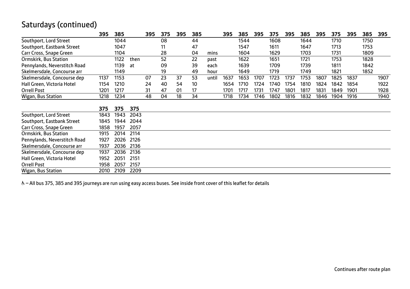### Saturdays (continued)

|                              | 395  | 385  |      | 395 | 375 | 395 | 385 |       | 395  | 385  | 395  | 375  | 395  | 385  | 395  | 375  | 395  | 385  | 395  |
|------------------------------|------|------|------|-----|-----|-----|-----|-------|------|------|------|------|------|------|------|------|------|------|------|
| Southport, Lord Street       |      | 1044 |      |     | 08  |     | 44  |       |      | 1544 |      | 1608 |      | 1644 |      | 1710 |      | 1750 |      |
| Southport, Eastbank Street   |      | 1047 |      |     | 11  |     | 47  |       |      | 1547 |      | 1611 |      | 1647 |      | 1713 |      | 1753 |      |
| Carr Cross, Snape Green      |      | 1104 |      |     | 28  |     | 04  | mins  |      | 1604 |      | 1629 |      | 1703 |      | 1731 |      | 1809 |      |
| Ormskirk, Bus Station        |      | 1122 | then |     | 52  |     | 22  | past  |      | 1622 |      | 1651 |      | 1721 |      | 1753 |      | 1828 |      |
| Pennylands, Neverstitch Road |      | 1139 | at   |     | 09  |     | 39  | each  |      | 1639 |      | 1709 |      | 1739 |      | 1811 |      | 1842 |      |
| Skelmersdale, Concourse arr  |      | 1149 |      |     | 19  |     | 49  | hour  |      | 1649 |      | 1719 |      | 1749 |      | 1821 |      | 1852 |      |
| Skelmersdale, Concourse dep  | 1137 | 1153 |      | 07  | 23  | 37  | 53  | until | 1637 | 1653 | 1707 | 1723 | 1737 | 1753 | 1807 | 1825 | 1837 |      | 1907 |
| Hall Green, Victoria Hotel   | 1154 | 1210 |      | 24  | 40  | 54  | 10  |       | 1654 | 1710 | 1724 | 1740 | 1754 | 1810 | 1824 | 1842 | 1854 |      | 1922 |
| <b>Orrell Post</b>           | 1201 | 1217 |      | 31  | 47  | 01  | 17  |       | 1701 | 1717 | 1731 | 1747 | 1801 | 1817 | 1831 | 1849 | 1901 |      | 1928 |
| Wigan, Bus Station           | 1218 | 1234 |      | 48  | 04  | 18  | 34  |       | 1718 | 1734 | 1746 | 1802 | 1816 | 1832 | 1846 | 1904 | 1916 |      | 1940 |
|                              |      |      |      |     |     |     |     |       |      |      |      |      |      |      |      |      |      |      |      |
|                              | 375  | 375  | 375  |     |     |     |     |       |      |      |      |      |      |      |      |      |      |      |      |
| Southport, Lord Street       | 1843 | 1943 | 2043 |     |     |     |     |       |      |      |      |      |      |      |      |      |      |      |      |
| Southport, Eastbank Street   | 1845 | 1944 | 2044 |     |     |     |     |       |      |      |      |      |      |      |      |      |      |      |      |
| Carr Cross, Snape Green      | 1858 | 1957 | 2057 |     |     |     |     |       |      |      |      |      |      |      |      |      |      |      |      |
| Ormskirk, Bus Station        | 1915 | 2014 | 2114 |     |     |     |     |       |      |      |      |      |      |      |      |      |      |      |      |
| Pennylands, Neverstitch Road | 1927 | 2026 | 2126 |     |     |     |     |       |      |      |      |      |      |      |      |      |      |      |      |
| Skelmersdale, Concourse arr  | 1937 | 2036 | 2136 |     |     |     |     |       |      |      |      |      |      |      |      |      |      |      |      |
| Skelmersdale, Concourse dep  | 1937 | 2036 | 2136 |     |     |     |     |       |      |      |      |      |      |      |      |      |      |      |      |
| Hall Green, Victoria Hotel   | 1952 | 2051 | 2151 |     |     |     |     |       |      |      |      |      |      |      |      |      |      |      |      |
| <b>Orrell Post</b>           | 1958 | 2057 | 2157 |     |     |     |     |       |      |      |      |      |      |      |      |      |      |      |      |
| Wigan, Bus Station           | 2010 | 2109 | 2209 |     |     |     |     |       |      |      |      |      |      |      |      |      |      |      |      |

& - All bus 375, 385 and 395 journeys are run using easy access buses. See inside front cover of this leaflet for details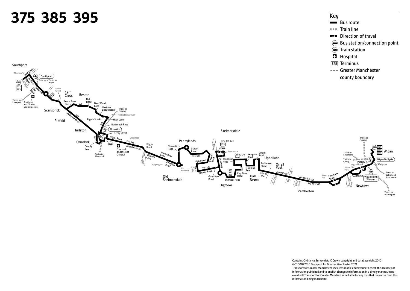

Contains Ordnance Survey data ©Crown copyright and database right 2010 ©0100022610 Transport for Greater Manchester 2021 Transport for Greater Manchester uses reasonable endeavours to check the accuracy of information published and to publish changes to information in a timely manner. In no event will Transport for Greater Manchester be liable for any loss that may arise from this information being inaccurate.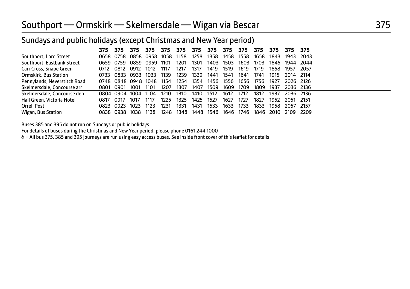## Southport — Ormskirk — Skelmersdale — Wigan via Bescar 375

| Surfuays and public hondays (except Christmas and New Year period) |      |                |                     |           |      |      |      |      |      |      |      |      |                |        |
|--------------------------------------------------------------------|------|----------------|---------------------|-----------|------|------|------|------|------|------|------|------|----------------|--------|
|                                                                    | 375  | 375            | 375                 | 375       | 375  | 375  | 375  | 375  | 375  | 375  | 375  | 375  | 375.           | -375   |
| Southport, Lord Street                                             |      | 0658 0758      |                     | 0858 0958 | 1058 | 1158 | 1258 | 1358 | 1458 | 1558 | 1658 | 1843 | 1943           | - 2043 |
| Southport, Eastbank Street                                         |      | 0659 0759      | 0859                | 0959      | 1101 | 1201 | 1301 | 1403 | 1503 | 1603 | 1703 |      | 1845 1944 2044 |        |
| Carr Cross, Snape Green                                            | 0712 | 0812           | 0912                | 1012      | 1117 | 1217 | 1317 | 1419 | 1519 | 1619 | 1719 | 1858 | 1957           | 2057   |
| Ormskirk, Bus Station                                              | 0733 | 0833 0933      |                     | 1033      | 1139 | 1239 | 1339 | 1441 | 1541 | 1641 | 1741 | 1915 | 2014 2114      |        |
| Pennylands, Neverstitch Road                                       |      |                | 0748 0848 0948 1048 |           | 1154 | 1254 | 1354 | 1456 | 1556 | 1656 | 1756 | 1927 | 2026 2126      |        |
| Skelmersdale, Concourse arr                                        | 0801 | 0901           | 1001                | 1101      | 1207 | 1307 | 1407 | 1509 | 1609 | 1709 | 1809 | 1937 | 2036 2136      |        |
| Skelmersdale, Concourse dep                                        |      | 0804 0904 1004 |                     | 1104      | 1210 | 1310 | 1410 | 1512 | 1612 | 1712 | 1812 | 1937 | 2036 2136      |        |
| Hall Green, Victoria Hotel                                         | 0817 | 0917           | 1017                | 1117      | 1225 | 1325 | 1425 | 1527 | 1627 | 1727 | 1827 | 1952 | 2051           | - 2151 |
| Orrell Post                                                        | 0823 | 0923           | 1023                | 1123      | 1231 | 1331 | 1431 | 1533 | 1633 | 1733 | 1833 | 1958 | 2057           | - 2157 |
| Wigan, Bus Station                                                 |      | 0838 0938 1038 |                     | 1138      | 1248 | 1348 | 1448 | 1546 | 1646 | 1746 | 1846 | 2010 | 2109           | -2209  |

Sundays and public holidays (except Christmas and New Year period)

Buses 385 and 395 do not run on Sundays or public holidays

For details of buses during the Christmas and New Year period, please phone 0161 244 1000

W– All bus 375, 385 and 395 journeys are run using easy access buses. See inside front cover of this leaflet for details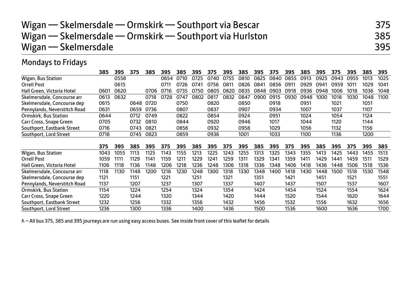| Wigan — Skelmersdale — Ormskirk — Southport via Bescar   | 375 |
|----------------------------------------------------------|-----|
| Wigan — Skelmersdale — Ormskirk — Southport via Hurlston | 385 |
| Wigan $-$ Skelmersdale                                   | 395 |

### Mondays to Fridays

|                              | 385  | 395  | 375  | 385  | 395  | 385  | 395  | 375  | 395  | 385  | 395  | 375  | 395  | 385  | 395  | 375  | 395  | 385  | 395  |
|------------------------------|------|------|------|------|------|------|------|------|------|------|------|------|------|------|------|------|------|------|------|
| Wigan, Bus Station           |      | 0558 |      |      | 0654 | 0710 | 0725 | 0740 | 0755 | 0810 | 0825 | 0840 | 0855 | 0913 | 0925 | 0943 | 0955 | 1013 | 1025 |
| <b>Orrell Post</b>           |      | 0615 |      |      | 0711 | 0726 | 0741 | 0756 | 0811 | 0826 | 0841 | 0856 | 0911 | 0929 | 0941 | 0959 | 1011 | 1029 | 1041 |
| Hall Green, Victoria Hotel   | 0601 | 0620 |      | 0706 | 0716 | 0735 | 0750 | 0805 | 0820 | 0835 | 0848 | 0903 | 0918 | 0936 | 0948 | 1006 | 1018 | 1036 | 1048 |
| Skelmersdale, Concourse arr  | 0613 | 0632 |      | 0718 | 0728 | 0747 | 0802 | 0817 | 0832 | 0847 | 0900 | 0915 | 0930 | 0948 | 1000 | 1018 | 1030 | 1048 | 1100 |
| Skelmersdale, Concourse dep  | 0615 |      | 0648 | 0720 |      | 0750 |      | 0820 |      | 0850 |      | 0918 |      | 0951 |      | 1021 |      | 1051 |      |
| Pennylands, Neverstitch Road | 0631 |      | 0659 | 0736 |      | 0807 |      | 0837 |      | 0907 |      | 0934 |      | 1007 |      | 1037 |      | 1107 |      |
| <b>Ormskirk, Bus Station</b> | 0644 |      | 0712 | 0749 |      | 0822 |      | 0854 |      | 0924 |      | 0951 |      | 1024 |      | 1054 |      | 1124 |      |
| Carr Cross, Snape Green      | 0705 |      | 0732 | 0810 |      | 0844 |      | 0920 |      | 0946 |      | 1017 |      | 1044 |      | 1120 |      | 1144 |      |
| Southport, Eastbank Street   | 0716 |      | 0743 | 0821 |      | 0856 |      | 0932 |      | 0958 |      | 1029 |      | 1056 |      | 1132 |      | 1156 |      |
| Southport, Lord Street       | 0718 |      | 0745 | 0823 |      | 0859 |      | 0936 |      | 1001 |      | 1033 |      | 1100 |      | 1136 |      | 1200 |      |
|                              |      |      |      |      |      |      |      |      |      |      |      |      |      |      |      |      |      |      |      |
|                              | 375  | 395  | 385  | 395  | 375  | 395  | 385  | 395  | 375  | 395  | 385  | 395  | 375  | 395  | 385  | 395  | 375  | 395  | 385  |
| Wigan, Bus Station           | 1043 | 1055 | 1113 | 1125 | 1143 | 1155 | 1213 | 1225 | 1243 | 1255 | 1313 | 1325 | 1343 | 1355 | 1413 | 1425 | 1443 | 1455 | 1513 |
| <b>Orrell Post</b>           | 1059 | 1111 | 1129 | 1141 | 1159 | 1211 | 1229 | 1241 | 1259 | 1311 | 1329 | 1341 | 1359 | 1411 | 1429 | 1441 | 1459 | 1511 | 1529 |
| Hall Green, Victoria Hotel   | 1106 | 1118 | 1136 | 1148 | 1206 | 1218 | 1236 | 1248 | 1306 | 1318 | 1336 | 1348 | 1406 | 1418 | 1436 | 1448 | 1506 | 1518 | 1536 |
| Skelmersdale, Concourse arr  | 1118 | 1130 | 1148 | 1200 | 1218 | 1230 | 1248 | 1300 | 1318 | 1330 | 1348 | 1400 | 1418 | 1430 | 1448 | 1500 | 1518 | 1530 | 1548 |
| Skelmersdale, Concourse dep  | 1121 |      | 1151 |      | 1221 |      | 1251 |      | 1321 |      | 1351 |      | 1421 |      | 1451 |      | 1521 |      | 1551 |
| Pennylands, Neverstitch Road | 1137 |      | 1207 |      | 1237 |      | 1307 |      | 1337 |      | 1407 |      | 1437 |      | 1507 |      | 1537 |      | 1607 |
| Ormskirk, Bus Station        | 1154 |      | 1224 |      | 1254 |      | 1324 |      | 1354 |      | 1424 |      | 1454 |      | 1524 |      | 1554 |      | 1624 |
| Carr Cross, Snape Green      | 1220 |      | 1244 |      | 1320 |      | 1344 |      | 1420 |      | 1444 |      | 1520 |      | 1544 |      | 1620 |      | 1644 |
| Southport, Eastbank Street   | 1232 |      | 1256 |      | 1332 |      | 1356 |      | 1432 |      | 1456 |      | 1532 |      | 1556 |      | 1632 |      | 1656 |
| Southport, Lord Street       | 1236 |      | 1300 |      | 1336 |      | 1400 |      | 1436 |      | 1500 |      | 1536 |      | 1600 |      | 1636 |      | 1700 |

& - All bus 375, 385 and 395 journeys are run using easy access buses. See inside front cover of this leaflet for details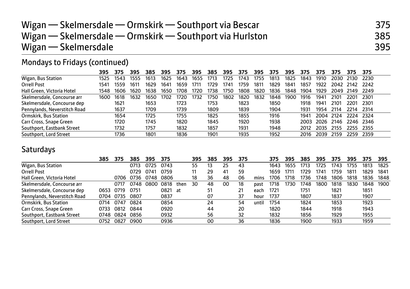| Wigan — Skelmersdale — Ormskirk — Southport via Bescar   | 375 |
|----------------------------------------------------------|-----|
| Wigan — Skelmersdale — Ormskirk — Southport via Hurlston | 385 |
| Wigan $-$ Skelmersdale                                   | 395 |

# Mondays to Fridays (continued)

|                              | 395  | 375  | 395  | 385  | 395  | 375  | 395  | 385  | 395  | 375  | 395  | 375  | 395  | 375  | 375  | 375              | 375         | 375       |
|------------------------------|------|------|------|------|------|------|------|------|------|------|------|------|------|------|------|------------------|-------------|-----------|
| Wigan, Bus Station           | 1525 | 1543 | 1555 | 1613 | 1625 | 1643 | 1655 | 1713 | 1725 | 1743 | 1755 | 1813 | 1825 | 1843 | 1910 | 2030             | 2130        | 2230      |
| Orrell Post                  | 1541 | 1559 | 1611 | 1629 | 1641 | 1659 | 1711 | 1729 | 1741 | 1759 | 1811 | 1829 | 1841 | 1857 | 1922 | 2042             | -2142       | -2242     |
| Hall Green, Victoria Hotel   | 1548 | 1606 | 1620 | 1638 | 1650 | 1708 | 1720 | 1738 | 1750 | 1808 | 1820 | 1836 | 1848 | 1904 | 1929 | 2049             | 2149        | 2249      |
| Skelmersdale, Concourse arr  | 1600 | 1618 | 1632 | 1650 | 702  | '720 | 1732 | 175C | 1802 | 1820 | 1832 | 1848 | 1900 | 1916 | 1941 | 210 <sup>.</sup> | <b>2201</b> | 2301      |
| Skelmersdale, Concourse dep  |      | 1621 |      | 1653 |      | 1723 |      | 1753 |      | 1823 |      | 1850 |      | 1918 | 1941 | 2101             | 220°        | 2301      |
| Pennylands, Neverstitch Road |      | 1637 |      | 1709 |      | 1739 |      | 1809 |      | 1839 |      | 1904 |      | 1931 | 1954 | 2114             | 2214        | 2314      |
| Ormskirk, Bus Station        |      | 1654 |      | 1725 |      | 1755 |      | 1825 |      | 1855 |      | 1916 |      | 1941 | 2004 | 2124             | 2224        | 2324      |
| Carr Cross, Snape Green      |      | 1720 |      | 1745 |      | 1820 |      | 1845 |      | 1920 |      | 1938 |      | 2003 | 2026 | 2146             |             | 2246 2346 |
| Southport, Eastbank Street   |      | 1732 |      | 1757 |      | 1832 |      | 1857 |      | 1931 |      | 1948 |      | 2012 | 2035 | 2155             | 2255        | 2355      |
| Southport, Lord Street       |      | 1736 |      | 1801 |      | 1836 |      | 1901 |      | 1935 |      | 1952 |      | 2016 | 2039 | 2159             | 2259        | 2359      |

## Saturdays

|                              | 385  | 375  | 385  | 395  | 375     |      | 395 | 385 | 395 | 375 |       | 375  | 395  | 385  | 395  | 375  | 395  | 375  | 395  |
|------------------------------|------|------|------|------|---------|------|-----|-----|-----|-----|-------|------|------|------|------|------|------|------|------|
| Wigan, Bus Station           |      |      | 0713 | 0725 | 0743    |      | 55  | 13  | 25  | 43  |       | 1643 | 1655 | 1713 | 1725 | 1743 | 1755 | 1813 | 1825 |
| Orrell Post                  |      |      | 0729 | 0741 | 0759    |      |     | 29  | 41  | 59  |       | 1659 | 1711 | 1729 | 1741 | 1759 | 1811 | 1829 | 1841 |
| Hall Green, Victoria Hotel   |      | 0706 | 0736 | 0748 | 0806    |      | 18  | 36  | 48  | 06  | mins  | 1706 | 1718 | 1736 | 1748 | 1806 | 1818 | 1836 | 1848 |
| Skelmersdale, Concourse arr  |      | 0717 | 0748 | 0800 | 0818    | then | 30  | 48  | 00  | 18  | past  | 1718 | 1730 | 1748 | 1800 | 1818 | 1830 | 1848 | 1900 |
| Skelmersdale, Concourse dep  | 0653 | 0719 | 0751 |      | 0821 at |      |     | 51  |     | 21  | each  | 1721 |      | 1751 |      | 1821 |      | 1851 |      |
| Pennylands, Neverstitch Road | 0704 | 0735 | 0807 |      | 0837    |      |     | 07  |     | 37  | hour  | 1737 |      | 1807 |      | 1837 |      | 1907 |      |
| Ormskirk, Bus Station        | 0714 | 0747 | 0824 |      | 0854    |      |     | 24  |     | 54  | until | 1754 |      | 1824 |      | 1853 |      | 1923 |      |
| Carr Cross, Snape Green      | 0733 | 0812 | 0844 |      | 0920    |      |     | 44  |     | 20  |       | 1820 |      | 1844 |      | 1918 |      | 1943 |      |
| Southport, Eastbank Street   | 0748 | 0824 | 0856 |      | 0932    |      |     | 56  |     | 32  |       | 1832 |      | 1856 |      | 1929 |      | 1955 |      |
| Southport, Lord Street       | 0752 | 0827 | 0900 |      | 0936    |      |     | 00  |     | 36  |       | 1836 |      | 1900 |      | 1933 |      | 1959 |      |